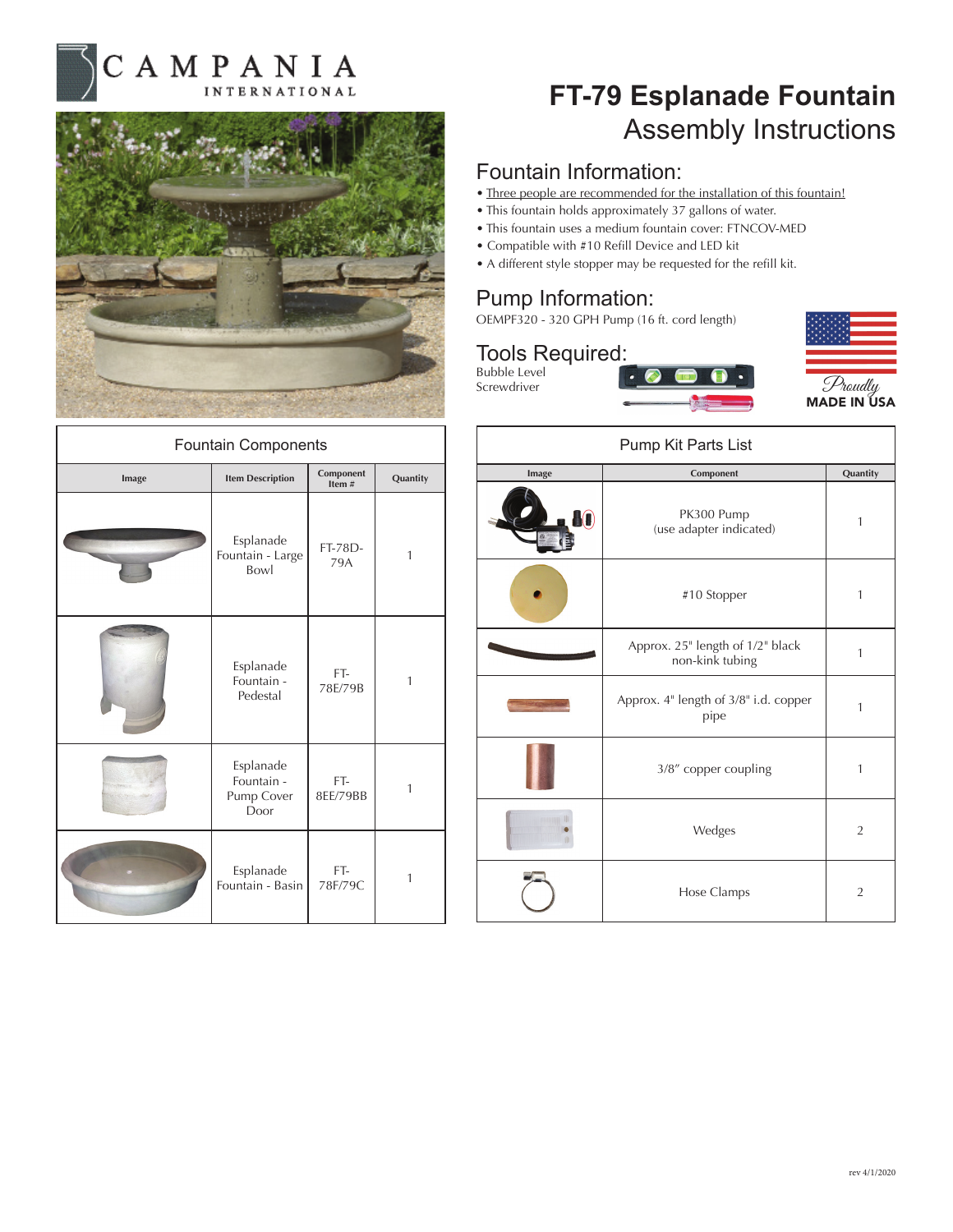



| <b>Fountain Components</b> |                                               |                    |          |
|----------------------------|-----------------------------------------------|--------------------|----------|
| Image                      | <b>Item Description</b>                       | Component<br>Item# | Quantity |
|                            | Esplanade<br>Fountain - Large<br>Bowl         | FT-78D-<br>79A     | 1        |
|                            | Esplanade<br>Fountain -<br>Pedestal           | FT-<br>78E/79B     | 1        |
|                            | Esplanade<br>Fountain -<br>Pump Cover<br>Door | FT-<br>8EE/79BB    | 1        |
|                            | Esplanade<br>Fountain - Basin                 | FT-<br>78F/79C     | 1        |

## **FT-79 Esplanade Fountain** Assembly Instructions

### Fountain Information:

- Three people are recommended for the installation of this fountain!
- This fountain holds approximately 37 gallons of water.
- This fountain uses a medium fountain cover: FTNCOV-MED
- Compatible with #10 Refill Device and LED kit
- A different style stopper may be requested for the refill kit.

## Pump Information:

OEMPF320 - 320 GPH Pump (16 ft. cord length)



| Pump Kit Parts List |                                                     |                |  |
|---------------------|-----------------------------------------------------|----------------|--|
| Image               | Component                                           | Quantity       |  |
|                     | PK300 Pump<br>(use adapter indicated)               | 1              |  |
|                     | #10 Stopper                                         | 1              |  |
|                     | Approx. 25" length of 1/2" black<br>non-kink tubing | $\mathbf{1}$   |  |
|                     | Approx. 4" length of 3/8" i.d. copper<br>pipe       | 1              |  |
|                     | 3/8" copper coupling                                | 1              |  |
|                     | Wedges                                              | $\overline{2}$ |  |
|                     | Hose Clamps                                         | $\overline{2}$ |  |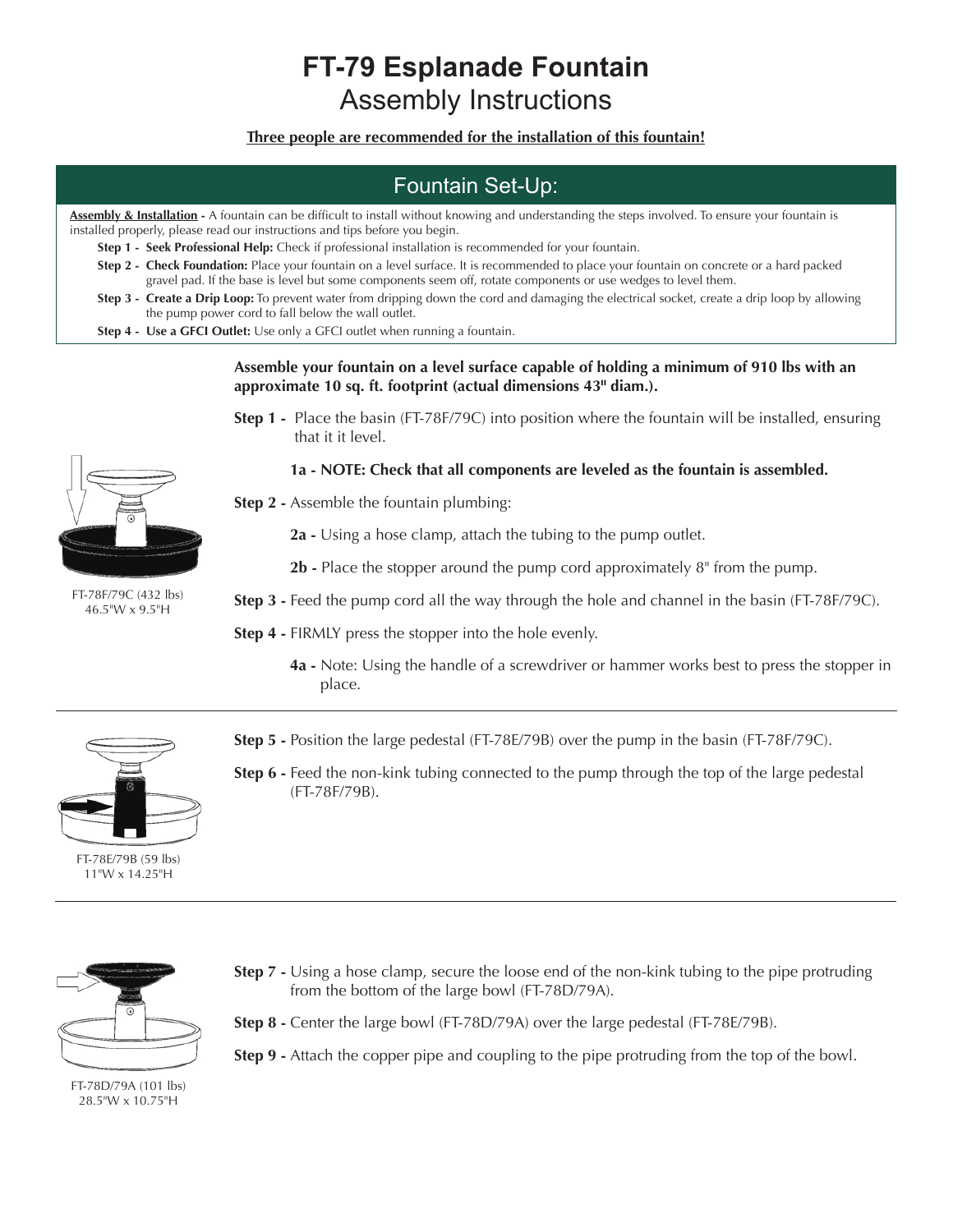## **FT-79 Esplanade Fountain** Assembly Instructions

**Three people are recommended for the installation of this fountain!**

## Fountain Set-Up:

**Assembly & Installation -** A fountain can be difficult to install without knowing and understanding the steps involved. To ensure your fountain is installed properly, please read our instructions and tips before you begin.

- **Step 1 Seek Professional Help:** Check if professional installation is recommended for your fountain.
- **Step 2 Check Foundation:** Place your fountain on a level surface. It is recommended to place your fountain on concrete or a hard packed gravel pad. If the base is level but some components seem off, rotate components or use wedges to level them.
- **Step 3 Create a Drip Loop:** To prevent water from dripping down the cord and damaging the electrical socket, create a drip loop by allowing the pump power cord to fall below the wall outlet.
- **Step 4 Use a GFCI Outlet:** Use only a GFCI outlet when running a fountain.

#### **Assemble your fountain on a level surface capable of holding a minimum of 910 lbs with an approximate 10 sq. ft. footprint (actual dimensions 43" diam.).**

**Step 1 -** Place the basin (FT-78F/79C) into position where the fountain will be installed, ensuring that it it level.

#### **1a - NOTE: Check that all components are leveled as the fountain is assembled.**

- **Step 2** Assemble the fountain plumbing:
	- **2a** Using a hose clamp, attach the tubing to the pump outlet.
	- **2b** Place the stopper around the pump cord approximately 8" from the pump.

**Step 3 - Feed the pump cord all the way through the hole and channel in the basin (FT-78F/79C).** 

**Step 4 -** FIRMLY press the stopper into the hole evenly.

**4a -** Note: Using the handle of a screwdriver or hammer works best to press the stopper in place.



- FT-78E/79B (59 lbs) 11"W x 14.25"H
- **Step 5 -** Position the large pedestal (FT-78E/79B) over the pump in the basin (FT-78F/79C).
- **Step 6 -** Feed the non-kink tubing connected to the pump through the top of the large pedestal (FT-78F/79B).



- **Step 7** Using a hose clamp, secure the loose end of the non-kink tubing to the pipe protruding from the bottom of the large bowl (FT-78D/79A).
- **Step 8** Center the large bowl (FT-78D/79A) over the large pedestal (FT-78E/79B).
- **Step 9** Attach the copper pipe and coupling to the pipe protruding from the top of the bowl.

FT-78D/79A (101 lbs) 28.5"W x 10.75"H



FT-78F/79C (432 lbs) 46.5"W x 9.5"H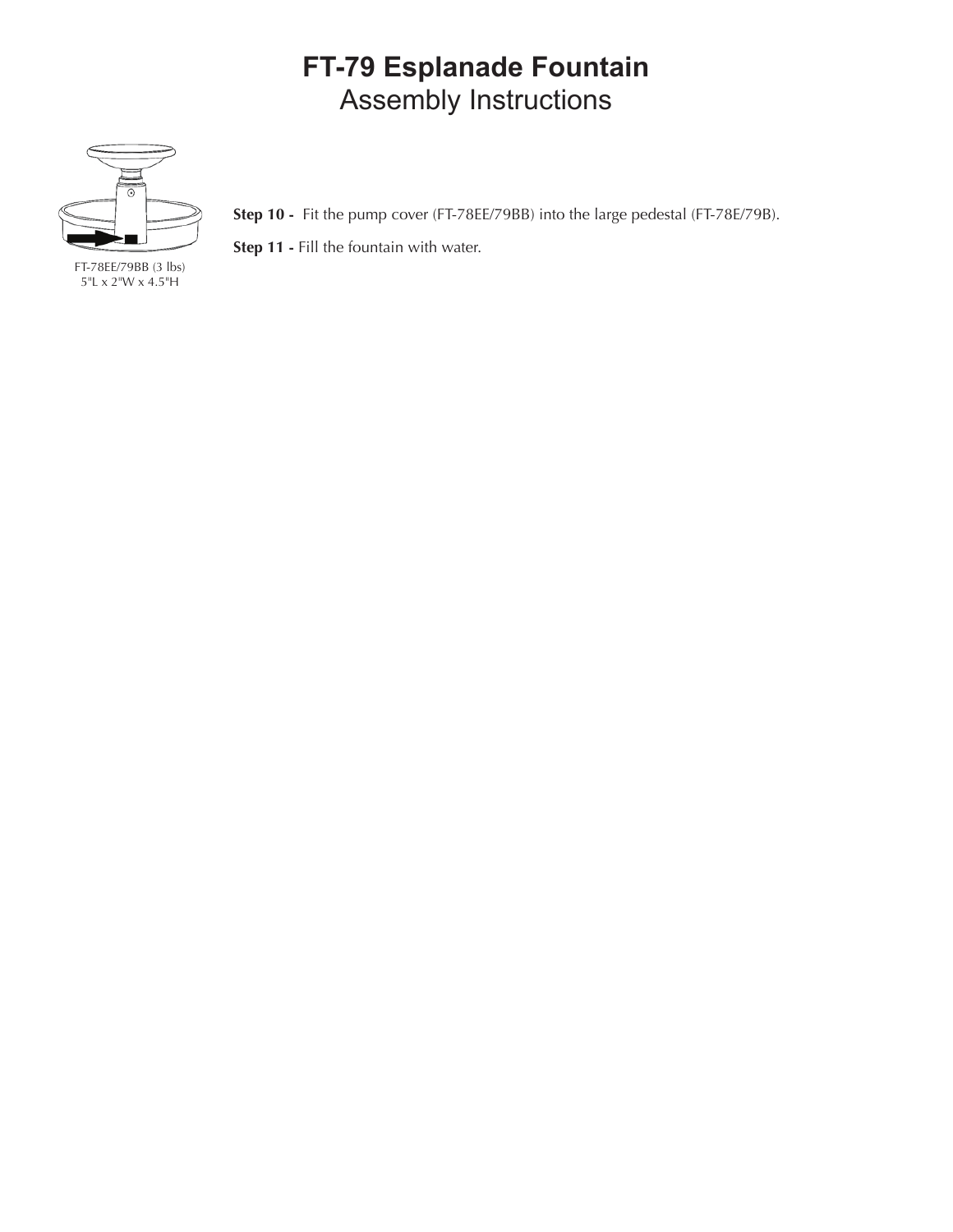# **FT-79 Esplanade Fountain** Assembly Instructions



**Step 10 -** Fit the pump cover (FT-78EE/79BB) into the large pedestal (FT-78E/79B).

**Step 11 -** Fill the fountain with water.

FT-78EE/79BB (3 lbs) 5"L x 2"W x 4.5"H